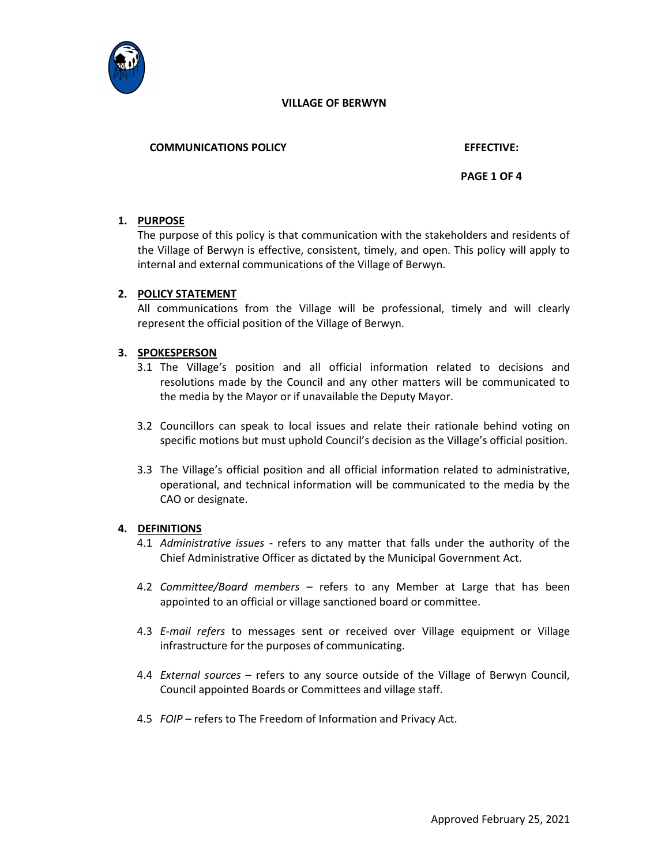

# COMMUNICATIONS POLICY EFFECTIVE:

# PAGE 1 OF 4

# 1. PURPOSE

The purpose of this policy is that communication with the stakeholders and residents of the Village of Berwyn is effective, consistent, timely, and open. This policy will apply to internal and external communications of the Village of Berwyn.

# 2. POLICY STATEMENT

All communications from the Village will be professional, timely and will clearly represent the official position of the Village of Berwyn.

# 3. SPOKESPERSON

- 3.1 The Village's position and all official information related to decisions and resolutions made by the Council and any other matters will be communicated to the media by the Mayor or if unavailable the Deputy Mayor.
- 3.2 Councillors can speak to local issues and relate their rationale behind voting on specific motions but must uphold Council's decision as the Village's official position.
- 3.3 The Village's official position and all official information related to administrative, operational, and technical information will be communicated to the media by the CAO or designate.

#### 4. DEFINITIONS

- 4.1 Administrative issues refers to any matter that falls under the authority of the Chief Administrative Officer as dictated by the Municipal Government Act.
- 4.2 Committee/Board members refers to any Member at Large that has been appointed to an official or village sanctioned board or committee.
- 4.3 E-mail refers to messages sent or received over Village equipment or Village infrastructure for the purposes of communicating.
- 4.4 External sources refers to any source outside of the Village of Berwyn Council, Council appointed Boards or Committees and village staff.
- 4.5 FOIP refers to The Freedom of Information and Privacy Act.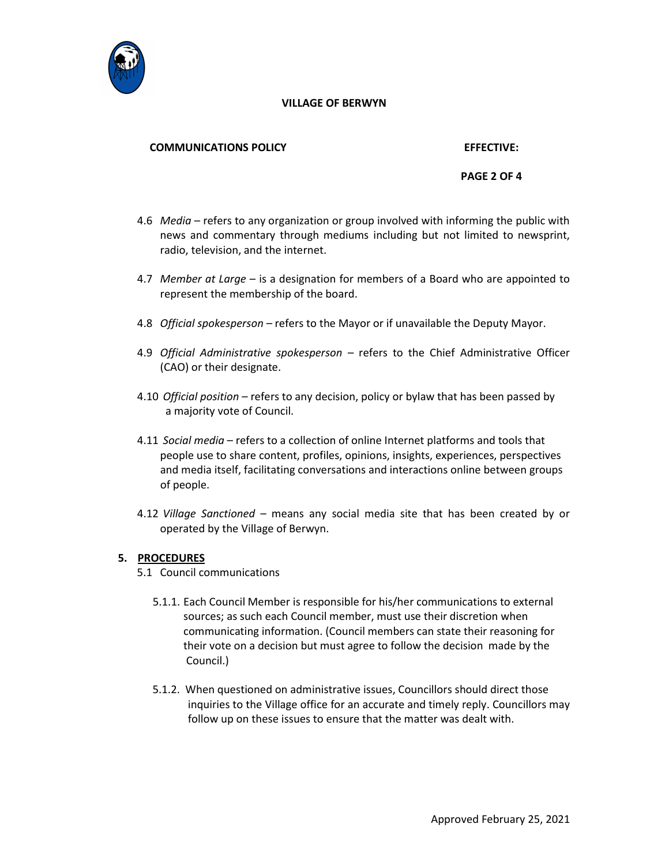

#### COMMUNICATIONS POLICY EFFECTIVE:

# PAGE 2 OF 4

- 4.6 *Media* refers to any organization or group involved with informing the public with news and commentary through mediums including but not limited to newsprint, radio, television, and the internet.
- 4.7 Member at Large is a designation for members of a Board who are appointed to represent the membership of the board.
- 4.8 Official spokesperson refers to the Mayor or if unavailable the Deputy Mayor.
- 4.9 Official Administrative spokesperson refers to the Chief Administrative Officer (CAO) or their designate.
- 4.10 Official position refers to any decision, policy or bylaw that has been passed by a majority vote of Council.
- 4.11 Social media refers to a collection of online Internet platforms and tools that people use to share content, profiles, opinions, insights, experiences, perspectives and media itself, facilitating conversations and interactions online between groups of people.
- 4.12 Village Sanctioned means any social media site that has been created by or operated by the Village of Berwyn.

#### 5. PROCEDURES

- 5.1 Council communications
	- 5.1.1. Each Council Member is responsible for his/her communications to external sources; as such each Council member, must use their discretion when communicating information. (Council members can state their reasoning for their vote on a decision but must agree to follow the decision made by the Council.)
	- 5.1.2. When questioned on administrative issues, Councillors should direct those inquiries to the Village office for an accurate and timely reply. Councillors may follow up on these issues to ensure that the matter was dealt with.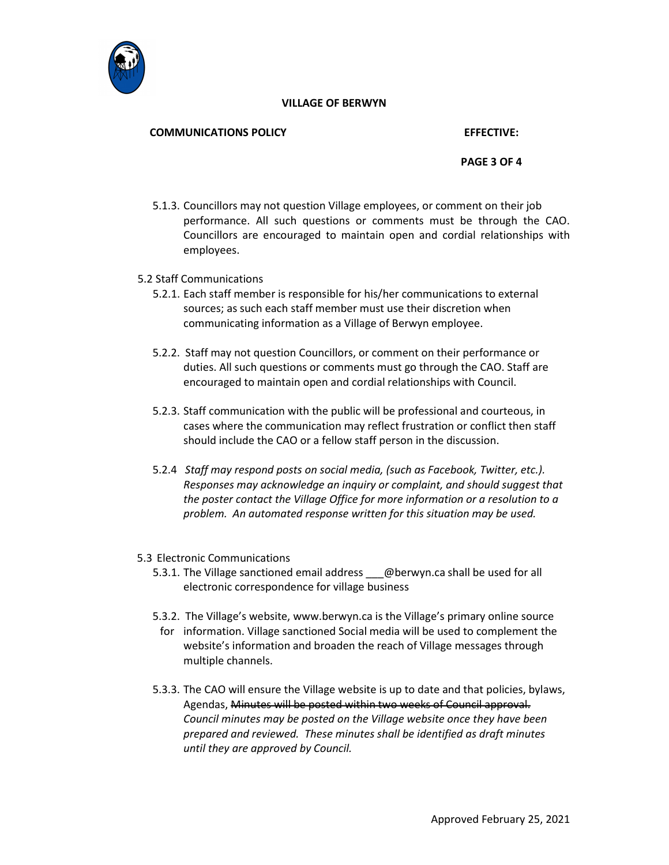

# COMMUNICATIONS POLICY EFFECTIVE:

# PAGE 3 OF 4

5.1.3. Councillors may not question Village employees, or comment on their job performance. All such questions or comments must be through the CAO. Councillors are encouraged to maintain open and cordial relationships with employees.

# 5.2 Staff Communications

- 5.2.1. Each staff member is responsible for his/her communications to external sources; as such each staff member must use their discretion when communicating information as a Village of Berwyn employee.
- 5.2.2. Staff may not question Councillors, or comment on their performance or duties. All such questions or comments must go through the CAO. Staff are encouraged to maintain open and cordial relationships with Council.
- 5.2.3. Staff communication with the public will be professional and courteous, in cases where the communication may reflect frustration or conflict then staff should include the CAO or a fellow staff person in the discussion.
- 5.2.4 Staff may respond posts on social media, (such as Facebook, Twitter, etc.). Responses may acknowledge an inquiry or complaint, and should suggest that the poster contact the Village Office for more information or a resolution to a problem. An automated response written for this situation may be used.

# 5.3 Electronic Communications

- 5.3.1. The Village sanctioned email address @berwyn.ca shall be used for all electronic correspondence for village business
- 5.3.2. The Village's website, www.berwyn.ca is the Village's primary online source
	- for information. Village sanctioned Social media will be used to complement the website's information and broaden the reach of Village messages through multiple channels.
- 5.3.3. The CAO will ensure the Village website is up to date and that policies, bylaws, Agendas, Minutes will be posted within two weeks of Council approval. Council minutes may be posted on the Village website once they have been prepared and reviewed. These minutes shall be identified as draft minutes until they are approved by Council.